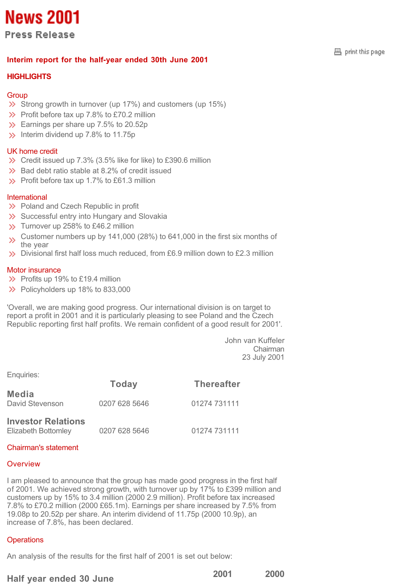# **News 2001**

**Press Release** 

## **Interim report for the half-year ended 30th June 2001**

## **HIGHLIGHTS**

## **Group**

- $\gg$  Strong growth in turnover (up 17%) and customers (up 15%)
- $\gg$  Profit before tax up 7.8% to £70.2 million
- Solution Earnings per share up 7.5% to 20.52p
- $\gg$  Interim dividend up 7.8% to 11.75p

## UK home credit

- $\gg$  Credit issued up 7.3% (3.5% like for like) to £390.6 million
- $\gg$  Bad debt ratio stable at 8.2% of credit issued
- $\gg$  Profit before tax up 1.7% to £61.3 million

## International

- $\gg$  Poland and Czech Republic in profit
- $\gg$  Successful entry into Hungary and Slovakia
- $\gg$  Turnover up 258% to £46.2 million
- Customer numbers up by 141,000 (28%) to 641,000 in the first six months of  $\gg$ the year
- $\gg$  Divisional first half loss much reduced, from £6.9 million down to £2.3 million

## Motor insurance

- $\gg$  Profits up 19% to £19.4 million
- $\gg$  Policyholders up 18% to 833,000

'Overall, we are making good progress. Our international division is on target to report a profit in 2001 and it is particularly pleasing to see Poland and the Czech Republic reporting first half profits. We remain confident of a good result for 2001'.

> John van Kuffeler Chairman 23 July 2001

Enquiries:

|                                                         | <b>Today</b>  | <b>Thereafter</b> |
|---------------------------------------------------------|---------------|-------------------|
| Media<br>David Stevenson                                | 0207 628 5646 | 01274 731111      |
| <b>Investor Relations</b><br><b>Elizabeth Bottomley</b> | 0207 628 5646 | 01274 731111      |

## Chairman's statement

## **Overview**

I am pleased to announce that the group has made good progress in the first half of 2001. We achieved strong growth, with turnover up by 17% to £399 million and customers up by 15% to 3.4 million (2000 2.9 million). Profit before tax increased 7.8% to £70.2 million (2000 £65.1m). Earnings per share increased by 7.5% from 19.08p to 20.52p per share. An interim dividend of 11.75p (2000 10.9p), an increase of 7.8%, has been declared.

## **Operations**

An analysis of the results for the first half of 2001 is set out below:

## **Half year ended 30 June 2001 2000**

 $\boxplus$  print this page.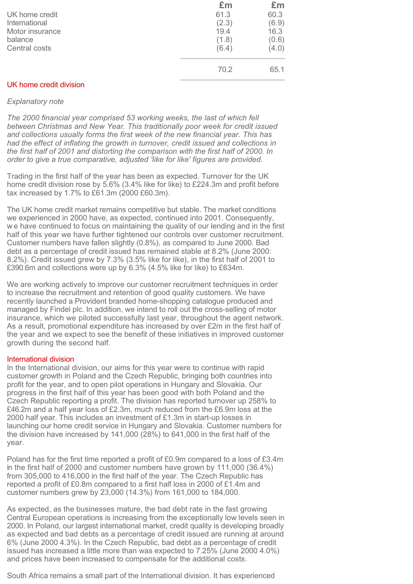|                 | £m    | £m    |
|-----------------|-------|-------|
| UK home credit  | 61.3  | 60.3  |
| International   | (2.3) | (6.9) |
| Motor insurance | 19.4  | 16.3  |
| balance         | (1.8) | (0.6) |
| Central costs   | (6.4) | (4.0) |
|                 | 70.2  | 65.1  |

## UK home credit division

#### *Explanatory note*

*The 2000 financial year comprised 53 working weeks, the last of which fell between Christmas and New Year. This traditionally poor week for credit issued and collections usually forms the first week of the new financial year. This has had the effect of inflating the growth in turnover, credit issued and collections in the first half of 2001 and distorting the comparison with the first half of 2000. In order to give a true comparative, adjusted 'like for like' figures are provided.* 

Trading in the first half of the year has been as expected. Turnover for the UK home credit division rose by 5.6% (3.4% like for like) to £224.3m and profit before tax increased by 1.7% to £61.3m (2000 £60.3m).

The UK home credit market remains competitive but stable. The market conditions we experienced in 2000 have, as expected, continued into 2001. Consequently, w e have continued to focus on maintaining the quality of our lending and in the first half of this year we have further tightened our controls over customer recruitment. Customer numbers have fallen slightly (0.8%), as compared to June 2000. Bad debt as a percentage of credit issued has remained stable at 8.2% (June 2000: 8.2%). Credit issued grew by 7.3% (3.5% like for like), in the first half of 2001 to £390.6m and collections were up by 6.3% (4.5% like for like) to £634m.

We are working actively to improve our customer recruitment techniques in order to increase the recruitment and retention of good quality customers. We have recently launched a Provident branded home-shopping catalogue produced and managed by Findel plc. In addition, we intend to roll out the cross-selling of motor insurance, which we piloted successfully last year, throughout the agent network. As a result, promotional expenditure has increased by over £2m in the first half of the year and we expect to see the benefit of these initiatives in improved customer growth during the second half.

#### International division

In the International division, our aims for this year were to continue with rapid customer growth in Poland and the Czech Republic, bringing both countries into profit for the year, and to open pilot operations in Hungary and Slovakia. Our progress in the first half of this year has been good with both Poland and the Czech Republic reporting a profit. The division has reported turnover up 258% to £46.2m and a half year loss of £2.3m, much reduced from the £6.9m loss at the 2000 half year. This includes an investment of £1.3m in start-up losses in launching our home credit service in Hungary and Slovakia. Customer numbers for the division have increased by 141,000 (28%) to 641,000 in the first half of the year.

Poland has for the first time reported a profit of £0.9m compared to a loss of £3.4m in the first half of 2000 and customer numbers have grown by 111,000 (36.4%) from 305,000 to 416,000 in the first half of the year. The Czech Republic has reported a profit of £0.8m compared to a first half loss in 2000 of £1.4m and customer numbers grew by 23,000 (14.3%) from 161,000 to 184,000.

As expected, as the businesses mature, the bad debt rate in the fast growing Central European operations is increasing from the exceptionally low levels seen in 2000. In Poland, our largest international market, credit quality is developing broadly as expected and bad debts as a percentage of credit issued are running at around 6% (June 2000 4.3%). In the Czech Republic, bad debt as a percentage of credit issued has increased a little more than was expected to 7.25% (June 2000 4.0%) and prices have been increased to compensate for the additional costs.

South Africa remains a small part of the International division. It has experienced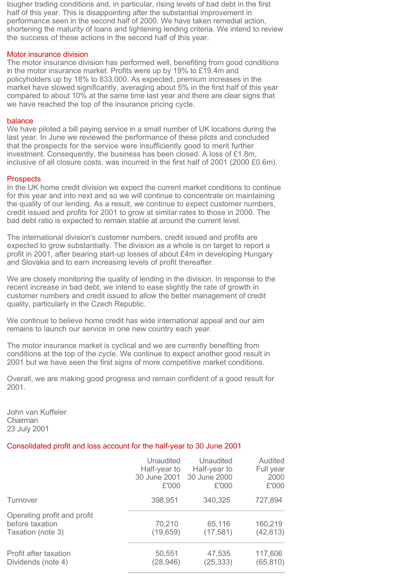tougher trading conditions and, in particular, rising levels of bad debt in the first half of this year. This is disappointing after the substantial improvement in performance seen in the second half of 2000. We have taken remedial action, shortening the maturity of loans and tightening lending criteria. We intend to review the success of these actions in the second half of this year.

## Motor insurance division

The motor insurance division has performed well, benefiting from good conditions in the motor insurance market. Profits were up by 19% to £19.4m and policyholders up by 18% to 833,000. As expected, premium increases in the market have slowed significantly, averaging about 5% in the first half of this year compared to about 10% at the same time last year and there are clear signs that we have reached the top of the insurance pricing cycle.

#### balance

We have piloted a bill paying service in a small number of UK locations during the last year. In June we reviewed the performance of these pilots and concluded that the prospects for the service were insufficiently good to merit further investment. Consequently, the business has been closed. A loss of  $£1.8m$ . inclusive of all closure costs, was incurred in the first half of 2001 (2000 £0.6m).

#### **Prospects**

In the UK home credit division we expect the current market conditions to continue for this year and into next and so we will continue to concentrate on maintaining the quality of our lending. As a result, we continue to expect customer numbers, credit issued and profits for 2001 to grow at similar rates to those in 2000. The bad debt ratio is expected to remain stable at around the current level.

The international division's customer numbers, credit issued and profits are expected to grow substantially. The division as a whole is on target to report a profit in 2001, after bearing start-up losses of about £4m in developing Hungary and Slovakia and to earn increasing levels of profit thereafter.

We are closely monitoring the quality of lending in the division. In response to the recent increase in bad debt, we intend to ease slightly the rate of growth in customer numbers and credit issued to allow the better management of credit quality, particularly in the Czech Republic.

We continue to believe home credit has wide international appeal and our aim remains to launch our service in one new country each year.

The motor insurance market is cyclical and we are currently benefiting from conditions at the top of the cycle. We continue to expect another good result in 2001 but we have seen the first signs of more competitive market conditions.

Overall, we are making good progress and remain confident of a good result for 2001.

John van Kuffeler Chairman 23 July 2001

## Consolidated profit and loss account for the half-year to 30 June 2001

|                                                                     | Unaudited           | Unaudited           | Audited              |
|---------------------------------------------------------------------|---------------------|---------------------|----------------------|
|                                                                     | Half-year to        | Half-year to        | Full year            |
|                                                                     | 30 June 2001        | 30 June 2000        | 2000                 |
|                                                                     | £'000               | £'000               | £'000                |
| Turnover                                                            | 398,951             | 340,325             | 727,894              |
| Operating profit and profit<br>before taxation<br>Taxation (note 3) | 70,210<br>(19, 659) | 65,116<br>(17, 581) | 160,219<br>(42, 613) |
| Profit after taxation                                               | 50,551              | 47,535              | 117,606              |
| Dividends (note 4)                                                  | (28, 946)           | (25, 333)           | (65, 810)            |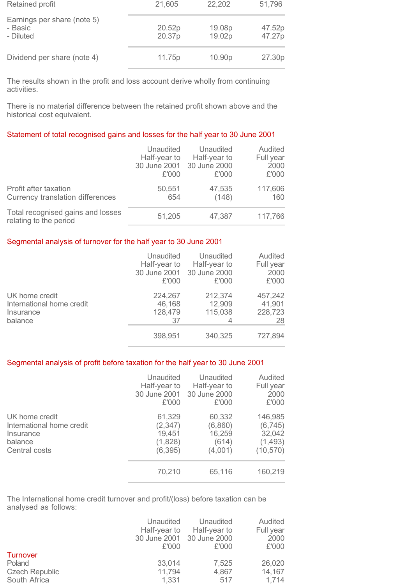| Retained profit                                     | 21,605           | 22,202             | 51,796           |
|-----------------------------------------------------|------------------|--------------------|------------------|
| Earnings per share (note 5)<br>- Basic<br>- Diluted | 20.52p<br>20.37p | 19.08p<br>19.02p   | 47.52p<br>47.27p |
| Dividend per share (note 4)                         | 11.75p           | 10.90 <sub>p</sub> | 27.30p           |

The results shown in the profit and loss account derive wholly from continuing activities.

There is no material difference between the retained profit shown above and the historical cost equivalent.

## Statement of total recognised gains and losses for the half year to 30 June 2001

|                                                                  | Unaudited<br>Half-year to<br>£'000 | Unaudited<br>Half-year to<br>30 June 2001 30 June 2000<br>£'000 | Audited<br>Full year<br>2000<br>£'000 |
|------------------------------------------------------------------|------------------------------------|-----------------------------------------------------------------|---------------------------------------|
| Profit after taxation<br><b>Currency translation differences</b> | 50,551<br>654                      | 47,535<br>(148)                                                 | 117,606<br>160                        |
| Total recognised gains and losses<br>relating to the period      | 51,205                             | 47,387                                                          | 117,766                               |

## Segmental analysis of turnover for the half year to 30 June 2001

|                                                                     | Unaudited<br>Half-year to<br>£'000 | Unaudited<br>Half-year to<br>30 June 2001 30 June 2000<br>£'000 | Audited<br>Full year<br>2000<br>£'000 |
|---------------------------------------------------------------------|------------------------------------|-----------------------------------------------------------------|---------------------------------------|
| UK home credit<br>International home credit<br>Insurance<br>balance | 224,267<br>46,168<br>128,479<br>37 | 212,374<br>12,909<br>115,038<br>4                               | 457,242<br>41,901<br>228,723<br>28    |
|                                                                     | 398,951                            | 340,325                                                         | 727,894                               |

## Segmental analysis of profit before taxation for the half year to 30 June 2001

|                           | Unaudited    | Unaudited    | Audited   |
|---------------------------|--------------|--------------|-----------|
|                           | Half-year to | Half-year to | Full year |
|                           | 30 June 2001 | 30 June 2000 | 2000      |
|                           | £'000        | £'000        | £'000     |
| UK home credit            | 61,329       | 60,332       | 146,985   |
| International home credit | (2, 347)     | (6,860)      | (6, 745)  |
| Insurance                 | 19,451       | 16,259       | 32,042    |
| balance                   | (1,828)      | (614)        | (1, 493)  |
| Central costs             | (6, 395)     | (4,001)      | (10, 570) |
|                           | 70,210       | 65,116       | 160,219   |

The International home credit turnover and profit/(loss) before taxation can be analysed as follows:

|                       | Unaudited<br>Half-year to<br>£'000 | Unaudited<br>Half-year to<br>30 June 2001 30 June 2000<br>£'000 | Audited<br>Full year<br>2000<br>£'000 |
|-----------------------|------------------------------------|-----------------------------------------------------------------|---------------------------------------|
| Turnover              |                                    |                                                                 |                                       |
| Poland                | 33,014                             | 7,525                                                           | 26,020                                |
| <b>Czech Republic</b> | 11,794                             | 4,867                                                           | 14,167                                |
| South Africa          | 1,331                              | 517                                                             | 1.714                                 |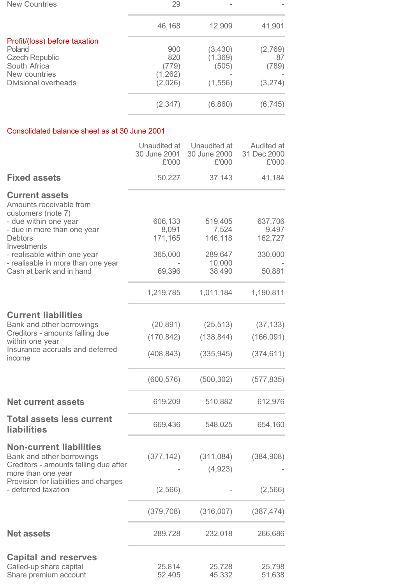| <b>New Countries</b>          | 29       |          |          |
|-------------------------------|----------|----------|----------|
|                               | 46,168   | 12,909   | 41,901   |
| Profit/(loss) before taxation |          |          |          |
| Poland                        | 900      | (3,430)  | (2,769)  |
| <b>Czech Republic</b>         | 820      | (1, 369) | 87       |
| South Africa                  | (779)    | (505)    | (789)    |
| New countries                 | (1, 262) |          |          |
| Divisional overheads          | (2,026)  | (1, 556) | (3,274)  |
|                               | (2, 347) | (6,860)  | (6, 745) |
|                               |          |          |          |

## Consolidated balance sheet as at 30 June 2001

|                                                                                 | Unaudited at<br>30 June 2001<br>£'000 | Unaudited at<br>30 June 2000<br>£'000 | Audited at<br>31 Dec 2000<br>£'000 |
|---------------------------------------------------------------------------------|---------------------------------------|---------------------------------------|------------------------------------|
| <b>Fixed assets</b>                                                             | 50,227                                | 37,143                                | 41,184                             |
| <b>Current assets</b><br>Amounts receivable from<br>customers (note 7)          |                                       |                                       |                                    |
| - due within one year                                                           | 606,133                               | 519,405                               | 637,706                            |
| - due in more than one year                                                     | 8,091                                 | 7,524                                 | 9,497                              |
| <b>Debtors</b><br>Investments                                                   | 171,165                               | 146,118                               | 162,727                            |
| - realisable within one year                                                    | 365,000                               | 289,647                               | 330,000                            |
| - realisable in more than one year<br>Cash at bank and in hand                  |                                       | 10,000                                |                                    |
|                                                                                 | 69,396                                | 38,490                                | 50,881                             |
|                                                                                 | 1,219,785                             | 1,011,184                             | 1,190,811                          |
| <b>Current liabilities</b>                                                      |                                       |                                       |                                    |
| Bank and other borrowings                                                       | (20, 891)                             | (25, 513)                             | (37, 133)                          |
| Creditors - amounts falling due<br>within one year                              | (170, 842)                            | (138, 844)                            | (166, 091)                         |
| Insurance accruals and deferred<br>income                                       | (408, 843)                            | (335, 945)                            | (374, 611)                         |
|                                                                                 | (600, 576)                            | (500, 302)                            | (577, 835)                         |
| <b>Net current assets</b>                                                       | 619,209                               | 510,882                               | 612,976                            |
| <b>Total assets less current</b><br><b>liabilities</b>                          | 669,436                               | 548,025                               | 654,160                            |
| <b>Non-current liabilities</b>                                                  |                                       |                                       |                                    |
| Bank and other borrowings<br>Creditors - amounts falling due after              | (377, 142)                            | (311, 084)                            | (384, 908)                         |
| more than one year                                                              |                                       | (4,923)                               |                                    |
| Provision for liabilities and charges<br>- deferred taxation                    | (2, 566)                              |                                       | (2, 566)                           |
|                                                                                 | (379, 708)                            | (316,007)                             | (387, 474)                         |
| <b>Net assets</b>                                                               | 289,728                               | 232,018                               | 266,686                            |
|                                                                                 |                                       |                                       |                                    |
| <b>Capital and reserves</b><br>Called-up share capital<br>Share premium account | 25,814<br>52,405                      | 25,728<br>45,332                      | 25,798<br>51,638                   |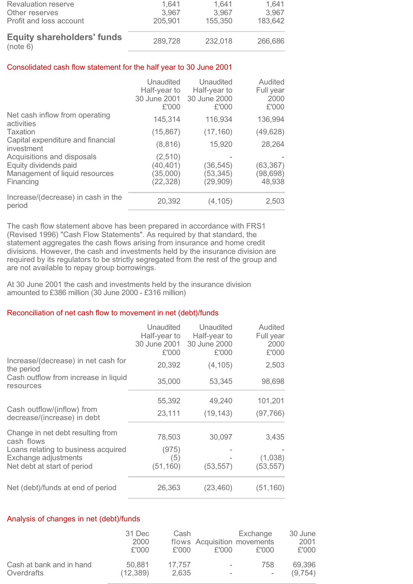| 155,350 | 183,642        |
|---------|----------------|
| 3.967   | 1,641<br>3.967 |
|         | 1.641          |

## Consolidated cash flow statement for the half year to 30 June 2001

|                                                                                                    | Unaudited<br>Half-year to<br>30 June 2001<br>£'000 | Unaudited<br>Half-year to<br>30 June 2000<br>£'000 | Audited<br>Full year<br>2000<br>£'000 |
|----------------------------------------------------------------------------------------------------|----------------------------------------------------|----------------------------------------------------|---------------------------------------|
| Net cash inflow from operating<br>activities                                                       | 145,314                                            | 116,934                                            | 136,994                               |
| <b>Taxation</b>                                                                                    | (15, 867)                                          | (17, 160)                                          | (49, 628)                             |
| Capital expenditure and financial<br>investment                                                    | (8, 816)                                           | 15,920                                             | 28,264                                |
| Acquisitions and disposals<br>Equity dividends paid<br>Management of liquid resources<br>Financing | (2,510)<br>(40, 401)<br>(35,000)<br>(22, 328)      | (36, 545)<br>(53, 345)<br>(29, 909)                | (63, 367)<br>(98, 698)<br>48,938      |
| Increase/(decrease) in cash in the<br>period                                                       | 20,392                                             | (4, 105)                                           | 2,503                                 |

The cash flow statement above has been prepared in accordance with FRS1 (Revised 1996) "Cash Flow Statements". As required by that standard, the statement aggregates the cash flows arising from insurance and home credit divisions. However, the cash and investments held by the insurance division are required by its regulators to be strictly segregated from the rest of the group and are not available to repay group borrowings.

At 30 June 2001 the cash and investments held by the insurance division amounted to £386 million (30 June 2000 - £316 million)

## Reconciliation of net cash flow to movement in net (debt)/funds

|                                                           | <b>Unaudited</b><br>Half-year to<br>30 June 2001<br>£'000 | Unaudited<br>Half-year to<br>30 June 2000<br>£'000 | Audited<br>Full year<br>2000<br>£'000 |
|-----------------------------------------------------------|-----------------------------------------------------------|----------------------------------------------------|---------------------------------------|
| Increase/(decrease) in net cash for<br>the period         | 20,392                                                    | (4, 105)                                           | 2,503                                 |
| Cash outflow from increase in liquid<br>resources         | 35,000                                                    | 53,345                                             | 98,698                                |
|                                                           | 55,392                                                    | 49,240                                             | 101,201                               |
| Cash outflow/(inflow) from<br>decrease/(increase) in debt | 23,111                                                    | (19, 143)                                          | (97, 766)                             |
| Change in net debt resulting from<br>cash flows           | 78,503                                                    | 30,097                                             | 3,435                                 |
| Loans relating to business acquired                       | (975)                                                     |                                                    |                                       |
| Exchange adjustments                                      | (5)                                                       |                                                    | (1,038)                               |
| Net debt at start of period                               | (51, 160)                                                 | (53, 557)                                          | (53, 557)                             |
| Net (debt)/funds at end of period                         | 26,363                                                    | (23, 460)                                          | (51, 160)                             |

## Analysis of changes in net (debt)/funds

|                          | 31 Dec<br>2000<br>£'000 | Cash<br>£'000 | £'000                    | Exchange<br>flows Acquisition movements<br>£'000 | 30 June<br>2001<br>£'000 |
|--------------------------|-------------------------|---------------|--------------------------|--------------------------------------------------|--------------------------|
| Cash at bank and in hand | 50.881                  | 17,757        | $\overline{\phantom{a}}$ | 758                                              | 69,396                   |
| Overdrafts               | (12, 389)               | 2.635         |                          |                                                  | (9, 754)                 |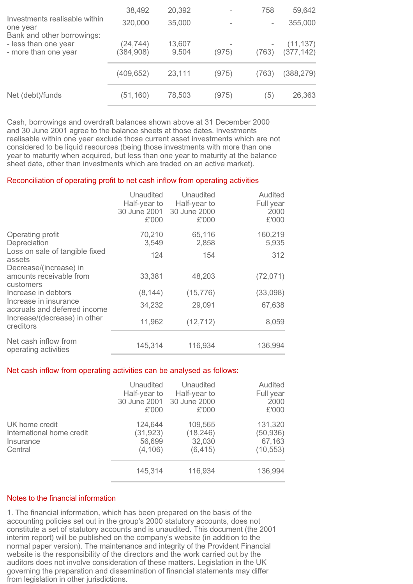|                                                                         | 38,492                 | 20,392          |       | 758   | 59,642                  |
|-------------------------------------------------------------------------|------------------------|-----------------|-------|-------|-------------------------|
| Investments realisable within<br>one year<br>Bank and other borrowings: | 320,000                | 35,000          |       |       | 355,000                 |
| - less than one year<br>- more than one year                            | (24,744)<br>(384, 908) | 13,607<br>9,504 | (975) | (763) | (11, 137)<br>(377, 142) |
|                                                                         | (409, 652)             | 23,111          | (975) | (763) | (388, 279)              |
| Net (debt)/funds                                                        | (51, 160)              | 78,503          | (975) | (5)   | 26,363                  |

Cash, borrowings and overdraft balances shown above at 31 December 2000 and 30 June 2001 agree to the balance sheets at those dates. Investments realisable within one year exclude those current asset investments which are not considered to be liquid resources (being those investments with more than one year to maturity when acquired, but less than one year to maturity at the balance sheet date, other than investments which are traded on an active market).

#### Reconciliation of operating profit to net cash inflow from operating activities

|                                                                | Unaudited<br>Half-year to<br>£'000 | Unaudited<br>Half-year to<br>30 June 2001 30 June 2000<br>£'000 | Audited<br>Full year<br>2000<br>£'000 |
|----------------------------------------------------------------|------------------------------------|-----------------------------------------------------------------|---------------------------------------|
| Operating profit<br>Depreciation                               | 70,210<br>3,549                    | 65,116<br>2,858                                                 | 160,219<br>5,935                      |
| Loss on sale of tangible fixed<br>assets                       | 124                                | 154                                                             | 312                                   |
| Decrease/(increase) in<br>amounts receivable from<br>customers | 33,381                             | 48,203                                                          | (72, 071)                             |
| Increase in debtors                                            | (8, 144)                           | (15, 776)                                                       | (33,098)                              |
| Increase in insurance<br>accruals and deferred income          | 34,232                             | 29,091                                                          | 67,638                                |
| Increase/(decrease) in other<br>creditors                      | 11,962                             | (12, 712)                                                       | 8,059                                 |
| Net cash inflow from<br>operating activities                   | 145,314                            | 116,934                                                         | 136,994                               |

### Net cash inflow from operating activities can be analysed as follows:

|                                                                     | Unaudited<br>Half-year to<br>30 June 2001 30 June 2000<br>£'000 | Unaudited<br>Half-year to<br>£'000         | Audited<br>Full year<br>2000<br>£'000       |
|---------------------------------------------------------------------|-----------------------------------------------------------------|--------------------------------------------|---------------------------------------------|
| UK home credit<br>International home credit<br>Insurance<br>Central | 124,644<br>(31, 923)<br>56,699<br>(4, 106)                      | 109,565<br>(18, 246)<br>32,030<br>(6, 415) | 131,320<br>(50, 936)<br>67,163<br>(10, 553) |
|                                                                     | 145,314                                                         | 116,934                                    | 136,994                                     |

## Notes to the financial information

1. The financial information, which has been prepared on the basis of the accounting policies set out in the group's 2000 statutory accounts, does not constitute a set of statutory accounts and is unaudited. This document (the 2001 interim report) will be published on the company's website (in addition to the normal paper version). The maintenance and integrity of the Provident Financial website is the responsibility of the directors and the work carried out by the auditors does not involve consideration of these matters. Legislation in the UK governing the preparation and dissemination of financial statements may differ from legislation in other jurisdictions.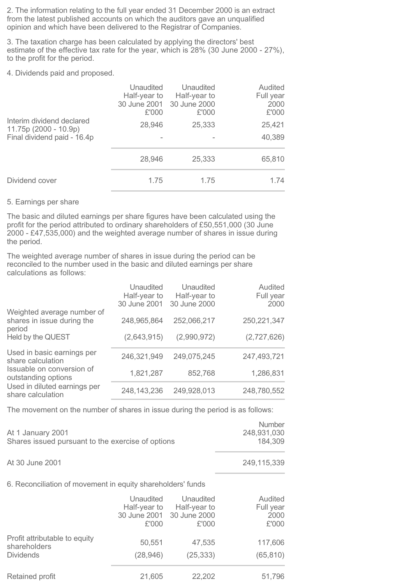2. The information relating to the full year ended 31 December 2000 is an extract from the latest published accounts on which the auditors gave an unqualified opinion and which have been delivered to the Registrar of Companies.

3. The taxation charge has been calculated by applying the directors' best estimate of the effective tax rate for the year, which is 28% (30 June 2000 - 27%), to the profit for the period.

4. Dividends paid and proposed.

|                                                                                    | Unaudited<br>Half-year to<br>£'000 | Unaudited<br>Half-year to<br>30 June 2001 30 June 2000<br>£'000 | Audited<br>Full year<br>2000<br>£'000 |
|------------------------------------------------------------------------------------|------------------------------------|-----------------------------------------------------------------|---------------------------------------|
| Interim dividend declared<br>$11.75p(2000 - 10.9p)$<br>Final dividend paid - 16.4p | 28,946                             | 25,333                                                          | 25,421<br>40,389                      |
|                                                                                    | 28,946                             | 25,333                                                          | 65,810                                |
| Dividend cover                                                                     | 1.75                               | 1.75                                                            | 1.74                                  |

## 5. Earnings per share

The basic and diluted earnings per share figures have been calculated using the profit for the period attributed to ordinary shareholders of £50,551,000 (30 June 2000 - £47,535,000) and the weighted average number of shares in issue during the period.

The weighted average number of shares in issue during the period can be reconciled to the number used in the basic and diluted earnings per share calculations as follows:

|                                                                    | Unaudited<br>Half-year to<br>30 June 2001 | Unaudited<br>Half-year to<br>30 June 2000 | Audited<br>Full year<br>2000 |
|--------------------------------------------------------------------|-------------------------------------------|-------------------------------------------|------------------------------|
| Weighted average number of<br>shares in issue during the<br>period | 248,965,864                               | 252,066,217                               | 250, 221, 347                |
| Held by the QUEST                                                  | (2,643,915)                               | (2,990,972)                               | (2,727,626)                  |
| Used in basic earnings per<br>share calculation                    | 246,321,949                               | 249,075,245                               | 247,493,721                  |
| Issuable on conversion of<br>outstanding options                   | 1,821,287                                 | 852,768                                   | 1,286,831                    |
| Used in diluted earnings per<br>share calculation                  | 248, 143, 236                             | 249,928,013                               | 248,780,552                  |

The movement on the number of shares in issue during the period is as follows:

| At 1 January 2001<br>Shares issued pursuant to the exercise of options | Number<br>248,931,030<br>184.309 |
|------------------------------------------------------------------------|----------------------------------|
| At 30 June 2001                                                        | 249,115,339                      |

## 6. Reconciliation of movement in equity shareholders' funds

|                                               | Unaudited<br>Half-year to<br>30 June 2001 30 June 2000<br>£'000 | Unaudited<br>Half-year to<br>£'000 | Audited<br>Full year<br>2000<br>£'000 |
|-----------------------------------------------|-----------------------------------------------------------------|------------------------------------|---------------------------------------|
| Profit attributable to equity<br>shareholders | 50,551                                                          | 47,535                             | 117,606                               |
| <b>Dividends</b>                              | (28, 946)                                                       | (25, 333)                          | (65, 810)                             |
| Retained profit                               | 21,605                                                          | 22,202                             | 51,796                                |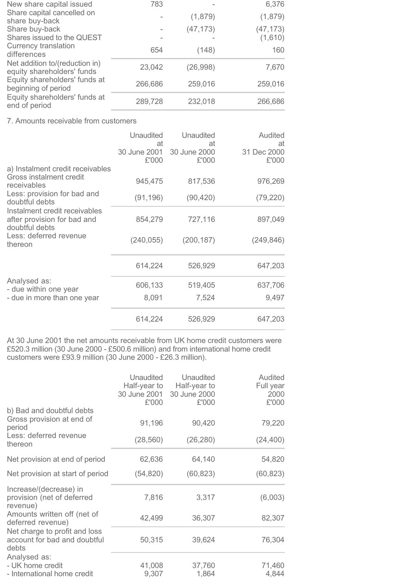| New share capital issued                                     | 783     |           | 6,376     |
|--------------------------------------------------------------|---------|-----------|-----------|
| Share capital cancelled on<br>share buy-back                 |         | (1,879)   | (1,879)   |
| Share buy-back                                               |         | (47, 173) | (47, 173) |
| Shares issued to the QUEST<br>Currency translation           |         |           | (1,610)   |
| differences                                                  | 654     | (148)     | 160       |
| Net addition to/(reduction in)<br>equity shareholders' funds | 23,042  | (26, 998) | 7,670     |
| Equity shareholders' funds at<br>beginning of period         | 266,686 | 259,016   | 259,016   |
| Equity shareholders' funds at<br>end of period               | 289,728 | 232,018   | 266,686   |

7. Amounts receivable from customers

|                                                                                                                     | <b>Unaudited</b><br>at | Unaudited<br>at                    | Audited<br>at        |
|---------------------------------------------------------------------------------------------------------------------|------------------------|------------------------------------|----------------------|
| a) Instalment credit receivables                                                                                    | £'000                  | 30 June 2001 30 June 2000<br>£'000 | 31 Dec 2000<br>£'000 |
| Gross instalment credit<br>receivables                                                                              | 945,475                | 817,536                            | 976,269              |
| Less: provision for bad and<br>doubtful debts                                                                       | (91, 196)              | (90, 420)                          | (79, 220)            |
| Instalment credit receivables<br>after provision for bad and<br>doubtful debts<br>Less: deferred revenue<br>thereon | 854,279                | 727,116                            | 897,049              |
|                                                                                                                     | (240, 055)             | (200, 187)                         | (249, 846)           |
|                                                                                                                     | 614,224                | 526,929                            | 647,203              |
| Analysed as:<br>- due within one year                                                                               | 606,133                | 519,405                            | 637,706              |
| - due in more than one year                                                                                         | 8,091                  | 7,524                              | 9,497                |
|                                                                                                                     | 614,224                | 526,929                            | 647,203              |

At 30 June 2001 the net amounts receivable from UK home credit customers were £520.3 million (30 June 2000 - £500.6 million) and from international home credit customers were £93.9 million (30 June 2000 - £26.3 million).

|                                                                        | <b>Unaudited</b><br>Half-year to<br>30 June 2001<br>£'000 | Unaudited<br>Half-year to<br>30 June 2000<br>£'000 | <b>Audited</b><br>Full year<br>2000<br>£'000 |
|------------------------------------------------------------------------|-----------------------------------------------------------|----------------------------------------------------|----------------------------------------------|
| b) Bad and doubtful debts<br>Gross provision at end of<br>period       | 91,196                                                    | 90,420                                             | 79,220                                       |
| Less: deferred revenue<br>thereon                                      | (28, 560)                                                 | (26, 280)                                          | (24, 400)                                    |
| Net provision at end of period                                         | 62,636                                                    | 64,140                                             | 54,820                                       |
| Net provision at start of period                                       | (54, 820)                                                 | (60, 823)                                          | (60, 823)                                    |
| Increase/(decrease) in<br>provision (net of deferred<br>revenue)       | 7,816                                                     | 3,317                                              | (6,003)                                      |
| Amounts written off (net of<br>deferred revenue)                       | 42,499                                                    | 36,307                                             | 82,307                                       |
| Net charge to profit and loss<br>account for bad and doubtful<br>debts | 50,315                                                    | 39,624                                             | 76,304                                       |
| Analysed as:<br>- UK home credit<br>- International home credit        | 41,008<br>9,307                                           | 37,760<br>1,864                                    | 71,460<br>4,844                              |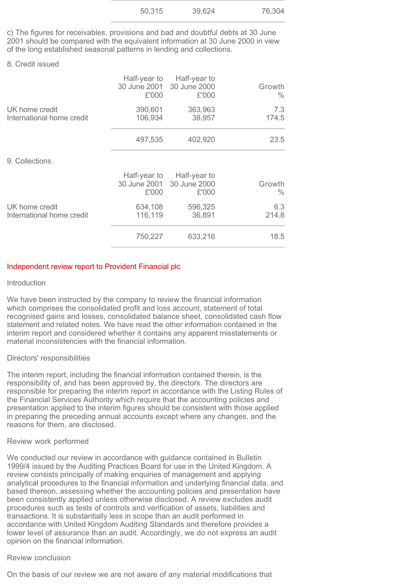| 50,315 | 39,624 | 76,304 |
|--------|--------|--------|
|        |        |        |

c) The figures for receivables, provisions and bad and doubtful debts at 30 June 2001 should be compared with the equivalent information at 30 June 2000 in view of the long established seasonal patterns in lending and collections.

### 8. Credit issued

|                                             | £'000              | Half-year to Half-year to<br>30 June 2001 30 June 2000<br>£'000 | Growth<br>$\frac{0}{0}$ |
|---------------------------------------------|--------------------|-----------------------------------------------------------------|-------------------------|
| UK home credit<br>International home credit | 390,601<br>106,934 | 363,963<br>38,957                                               | 7.3<br>174.5            |
|                                             | 497,535            | 402,920                                                         | 23.5                    |
| 9. Collections                              |                    |                                                                 |                         |
|                                             | £'000              | Half-year to Half-year to<br>30 June 2001 30 June 2000<br>£'000 | Growth<br>$\frac{0}{0}$ |
| UK home credit<br>International home credit | 634,108<br>116,119 | 596,325<br>36,891                                               | 6.3<br>214.8            |
|                                             | 750,227            | 633,216                                                         | 18.5                    |

## Independent review report to Provident Financial plc

#### Introduction

We have been instructed by the company to review the financial information which comprises the consolidated profit and loss account, statement of total recognised gains and losses, consolidated balance sheet, consolidated cash flow statement and related notes. We have read the other information contained in the interim report and considered whether it contains any apparent misstatements or material inconsistencies with the financial information.

## Directors' responsibilities

The interim report, including the financial information contained therein, is the responsibility of, and has been approved by, the directors. The directors are responsible for preparing the interim report in accordance with the Listing Rules of the Financial Services Authority which require that the accounting policies and presentation applied to the interim figures should be consistent with those applied in preparing the preceding annual accounts except where any changes, and the reasons for them, are disclosed.

## Review work performed

We conducted our review in accordance with guidance contained in Bulletin 1999/4 issued by the Auditing Practices Board for use in the United Kingdom. A review consists principally of making enquiries of management and applying analytical procedures to the financial information and underlying financial data, and based thereon, assessing whether the accounting policies and presentation have been consistently applied unless otherwise disclosed. A review excludes audit procedures such as tests of controls and verification of assets, liabilities and transactions. It is substantially less in scope than an audit performed in accordance with United Kingdom Auditing Standards and therefore provides a lower level of assurance than an audit. Accordingly, we do not express an audit opinion on the financial information.

## Review conclusion

On the basis of our review we are not aware of any material modifications that